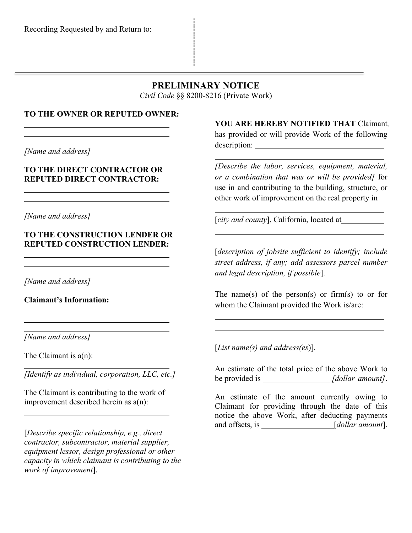# **PRELIMINARY NOTICE**

*Civil Code* §§ 8200-8216 (Private Work)

#### **TO THE OWNER OR REPUTED OWNER:**

*[Name and address]*

#### **TO THE DIRECT CONTRACTOR OR REPUTED DIRECT CONTRACTOR:**

*[Name and address]*

### **TO THE CONSTRUCTION LENDER OR REPUTED CONSTRUCTION LENDER:**

*[Name and address]*

**Claimant's Information:**

*[Name and address]*

The Claimant is  $a(n)$ :

*[Identify as individual, corporation, LLC, etc.]*

The Claimant is contributing to the work of improvement described herein as a(n):

[*Describe specific relationship, e.g., direct contractor, subcontractor, material supplier, equipment lessor, design professional or other capacity in which claimant is contributing to the work of improvement*].

**YOU ARE HEREBY NOTIFIED THAT** Claimant*,*  has provided or will provide Work of the following description:

*[Describe the labor, services, equipment, material, or a combination that was or will be provided]* for use in and contributing to the building, structure, or other work of improvement on the real property in

 $\overline{a}$ 

[*city and county*], California, located at

[*description of jobsite sufficient to identify; include street address, if any; add assessors parcel number and legal description, if possible*].

The name(s) of the person(s) or firm(s) to or for whom the Claimant provided the Work is/are:

[*List name(s) and address(es*)].

An estimate of the total price of the above Work to be provided is *[dollar amount]*.

An estimate of the amount currently owing to Claimant for providing through the date of this notice the above Work, after deducting payments and offsets, is \_\_\_\_\_\_\_\_\_\_\_\_\_\_\_*[dollar amount*].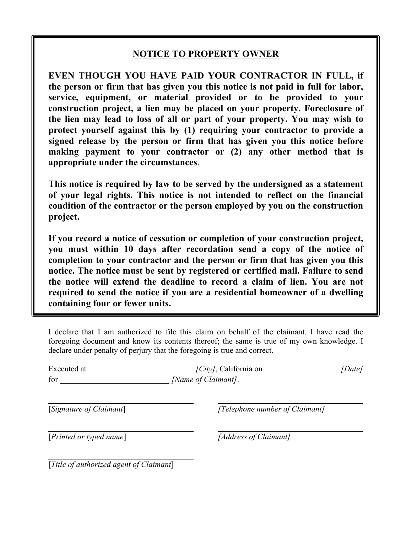# **NOTICE TO PROPERTY OWNER**

**EVEN THOUGH YOU HAVE PAID YOUR CONTRACTOR IN FULL, if the person or firm that has given you this notice is not paid in full for labor, service, equipment, or material provided or to be provided to your construction project, a lien may be placed on your property. Foreclosure of the lien may lead to loss of all or part of your property. You may wish to protect yourself against this by (1) requiring your contractor to provide a signed release by the person or firm that has given you this notice before making payment to your contractor or (2) any other method that is appropriate under the circumstances**.

**This notice is required by law to be served by the undersigned as a statement of your legal rights. This notice is not intended to reflect on the financial condition of the contractor or the person employed by you on the construction project.**

**If you record a notice of cessation or completion of your construction project, you must within 10 days after recordation send a copy of the notice of completion to your contractor and the person or firm that has given you this notice. The notice must be sent by registered or certified mail. Failure to send the notice will extend the deadline to record a claim of lien. You are not required to send the notice if you are a residential homeowner of a dwelling containing four or fewer units.**

I declare that I am authorized to file this claim on behalf of the claimant. I have read the foregoing document and know its contents thereof; the same is true of my own knowledge. I declare under penalty of perjury that the foregoing is true and correct.

| Executed at | $\sqrt{City/}$ , California on | <i>[Date]</i> |
|-------------|--------------------------------|---------------|
| for         | [Name of Claimant].            |               |

[*Signature of Claimant*] *[Telephone number of Claimant]*

[*Printed or typed name*] *[Address of Claimant]*

[*Title of authorized agent of Claimant*]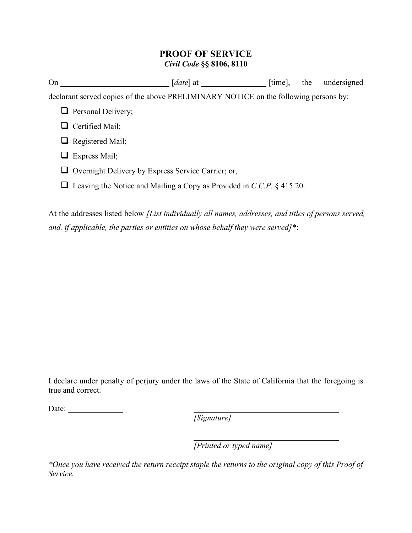## **PROOF OF SERVICE** *Civil Code* **§§ 8106, 8110**

| On                                                                                   | $[date]$ at $\Box$                                                           | $[time]$ , | the | undersigned |  |  |
|--------------------------------------------------------------------------------------|------------------------------------------------------------------------------|------------|-----|-------------|--|--|
| declarant served copies of the above PRELIMINARY NOTICE on the following persons by: |                                                                              |            |     |             |  |  |
| $\Box$ Personal Delivery;                                                            |                                                                              |            |     |             |  |  |
| Certified Mail;                                                                      |                                                                              |            |     |             |  |  |
| $\Box$ Registered Mail;                                                              |                                                                              |            |     |             |  |  |
| Express Mail;                                                                        |                                                                              |            |     |             |  |  |
| $\Box$ Overnight Delivery by Express Service Carrier; or,                            |                                                                              |            |     |             |  |  |
|                                                                                      | $\Box$ Leaving the Notice and Mailing a Copy as Provided in C.C.P. § 415.20. |            |     |             |  |  |
|                                                                                      |                                                                              |            |     |             |  |  |

At the addresses listed below *[List individually all names, addresses, and titles of persons served, and, if applicable, the parties or entities on whose behalf they were served]\**:

I declare under penalty of perjury under the laws of the State of California that the foregoing is true and correct.

Date:

*[Signature]*

*[Printed or typed name]*

*\*Once you have received the return receipt staple the returns to the original copy of this Proof of Service.*